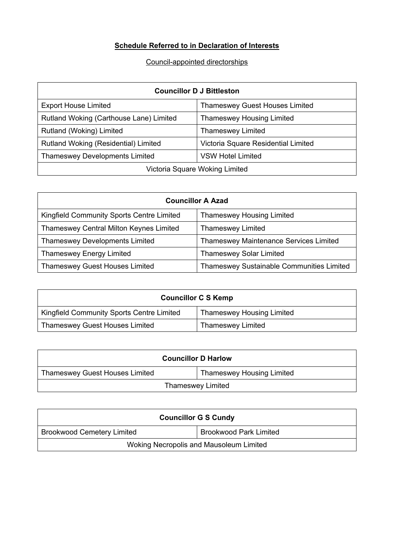## **Schedule Referred to in Declaration of Interests**

## Council-appointed directorships

| <b>Councillor D J Bittleston</b>        |                                       |
|-----------------------------------------|---------------------------------------|
| <b>Export House Limited</b>             | <b>Thameswey Guest Houses Limited</b> |
| Rutland Woking (Carthouse Lane) Limited | <b>Thameswey Housing Limited</b>      |
| Rutland (Woking) Limited                | <b>Thameswey Limited</b>              |
| Rutland Woking (Residential) Limited    | Victoria Square Residential Limited   |
| <b>Thameswey Developments Limited</b>   | <b>VSW Hotel Limited</b>              |
| Victoria Square Woking Limited          |                                       |

| <b>Councillor A Azad</b>                  |                                                  |
|-------------------------------------------|--------------------------------------------------|
| Kingfield Community Sports Centre Limited | <b>Thameswey Housing Limited</b>                 |
| Thameswey Central Milton Keynes Limited   | <b>Thameswey Limited</b>                         |
| <b>Thameswey Developments Limited</b>     | <b>Thameswey Maintenance Services Limited</b>    |
| <b>Thameswey Energy Limited</b>           | <b>Thameswey Solar Limited</b>                   |
| <b>Thameswey Guest Houses Limited</b>     | <b>Thameswey Sustainable Communities Limited</b> |

| <b>Councillor C S Kemp</b>                |                                  |
|-------------------------------------------|----------------------------------|
| Kingfield Community Sports Centre Limited | <b>Thameswey Housing Limited</b> |
| <b>Thameswey Guest Houses Limited</b>     | <b>Thameswey Limited</b>         |

| <b>Councillor D Harlow</b>            |                                  |
|---------------------------------------|----------------------------------|
| <b>Thameswey Guest Houses Limited</b> | <b>Thameswey Housing Limited</b> |
| <b>Thameswey Limited</b>              |                                  |

| <b>Councillor G S Cundy</b>             |                               |
|-----------------------------------------|-------------------------------|
| <b>Brookwood Cemetery Limited</b>       | <b>Brookwood Park Limited</b> |
| Woking Necropolis and Mausoleum Limited |                               |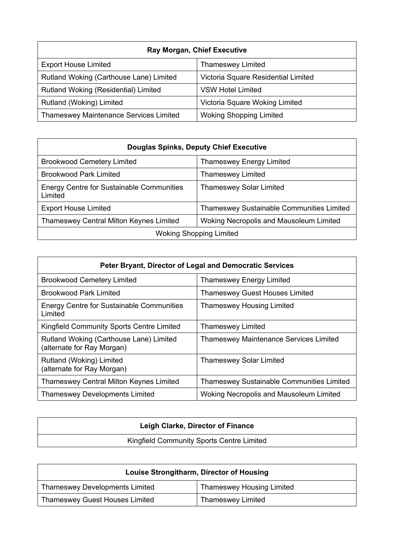| <b>Ray Morgan, Chief Executive</b>            |                                     |
|-----------------------------------------------|-------------------------------------|
| <b>Export House Limited</b>                   | <b>Thameswey Limited</b>            |
| Rutland Woking (Carthouse Lane) Limited       | Victoria Square Residential Limited |
| Rutland Woking (Residential) Limited          | <b>VSW Hotel Limited</b>            |
| Rutland (Woking) Limited                      | Victoria Square Woking Limited      |
| <b>Thameswey Maintenance Services Limited</b> | <b>Woking Shopping Limited</b>      |

| Douglas Spinks, Deputy Chief Executive                      |                                                  |
|-------------------------------------------------------------|--------------------------------------------------|
| <b>Brookwood Cemetery Limited</b>                           | <b>Thameswey Energy Limited</b>                  |
| <b>Brookwood Park Limited</b>                               | <b>Thameswey Limited</b>                         |
| <b>Energy Centre for Sustainable Communities</b><br>Limited | Thameswey Solar Limited                          |
| <b>Export House Limited</b>                                 | <b>Thameswey Sustainable Communities Limited</b> |
| <b>Thameswey Central Milton Keynes Limited</b>              | Woking Necropolis and Mausoleum Limited          |
| <b>Woking Shopping Limited</b>                              |                                                  |

| Peter Bryant, Director of Legal and Democratic Services               |                                                  |
|-----------------------------------------------------------------------|--------------------------------------------------|
| <b>Brookwood Cemetery Limited</b>                                     | <b>Thameswey Energy Limited</b>                  |
| <b>Brookwood Park Limited</b>                                         | <b>Thameswey Guest Houses Limited</b>            |
| Energy Centre for Sustainable Communities<br>Limited                  | <b>Thameswey Housing Limited</b>                 |
| Kingfield Community Sports Centre Limited                             | <b>Thameswey Limited</b>                         |
| Rutland Woking (Carthouse Lane) Limited<br>(alternate for Ray Morgan) | <b>Thameswey Maintenance Services Limited</b>    |
| Rutland (Woking) Limited<br>(alternate for Ray Morgan)                | <b>Thameswey Solar Limited</b>                   |
| Thameswey Central Milton Keynes Limited                               | <b>Thameswey Sustainable Communities Limited</b> |
| <b>Thameswey Developments Limited</b>                                 | Woking Necropolis and Mausoleum Limited          |

| Leigh Clarke, Director of Finance         |  |
|-------------------------------------------|--|
| Kingfield Community Sports Centre Limited |  |

| Louise Strongitharm, Director of Housing |                                  |
|------------------------------------------|----------------------------------|
| <b>Thameswey Developments Limited</b>    | <b>Thameswey Housing Limited</b> |
| <b>Thameswey Guest Houses Limited</b>    | <b>Thameswey Limited</b>         |